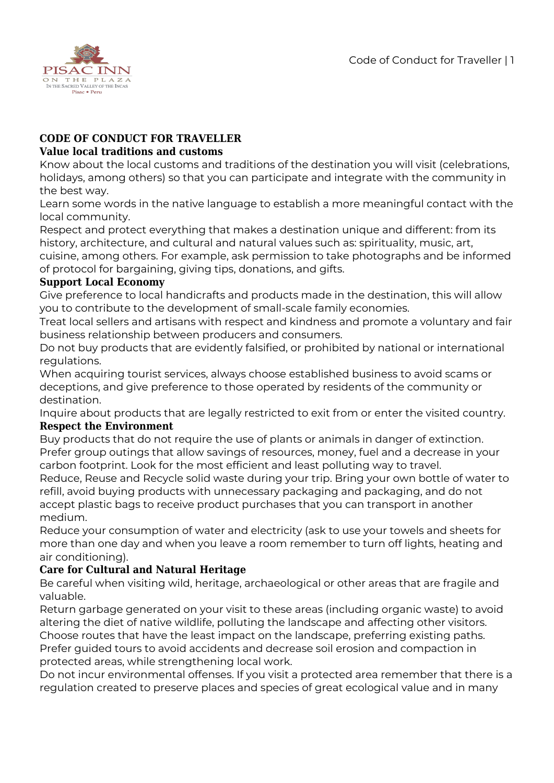

# **CODE OF CONDUCT FOR TRAVELLER**

#### **Value local traditions and customs**

Know about the local customs and traditions of the destination you will visit (celebrations, holidays, among others) so that you can participate and integrate with the community in the best way.

Learn some words in the native language to establish a more meaningful contact with the local community.

Respect and protect everything that makes a destination unique and different: from its history, architecture, and cultural and natural values such as: spirituality, music, art, cuisine, among others. For example, ask permission to take photographs and be informed of protocol for bargaining, giving tips, donations, and gifts.

# **Support Local Economy**

Give preference to local handicrafts and products made in the destination, this will allow you to contribute to the development of small-scale family economies.

Treat local sellers and artisans with respect and kindness and promote a voluntary and fair business relationship between producers and consumers.

Do not buy products that are evidently falsified, or prohibited by national or international regulations.

When acquiring tourist services, always choose established business to avoid scams or deceptions, and give preference to those operated by residents of the community or destination.

Inquire about products that are legally restricted to exit from or enter the visited country. **Respect the Environment**

Buy products that do not require the use of plants or animals in danger of extinction. Prefer group outings that allow savings of resources, money, fuel and a decrease in your carbon footprint. Look for the most efficient and least polluting way to travel.

Reduce, Reuse and Recycle solid waste during your trip. Bring your own bottle of water to refill, avoid buying products with unnecessary packaging and packaging, and do not accept plastic bags to receive product purchases that you can transport in another medium.

Reduce your consumption of water and electricity (ask to use your towels and sheets for more than one day and when you leave a room remember to turn off lights, heating and air conditioning).

## **Care for Cultural and Natural Heritage**

Be careful when visiting wild, heritage, archaeological or other areas that are fragile and valuable.

Return garbage generated on your visit to these areas (including organic waste) to avoid altering the diet of native wildlife, polluting the landscape and affecting other visitors. Choose routes that have the least impact on the landscape, preferring existing paths. Prefer guided tours to avoid accidents and decrease soil erosion and compaction in protected areas, while strengthening local work.

Do not incur environmental offenses. If you visit a protected area remember that there is a regulation created to preserve places and species of great ecological value and in many